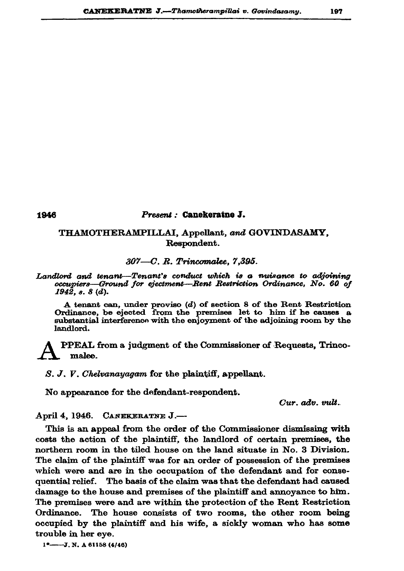## 1946

## Present : Canekeratne J.

## THAMOTHERAMPILLAI, Appellant, and GOVINDASAMY, Respondent.

## 307-C. R. Trincomalee, 7,395.

Landlord and tenant-Tenant's conduct which is a nuisance to adjoining occupiers—Ground for ejectment—Rent Restriction Ordinance, No. 60 of  $194\bar{2}$ , s. 8 (d).

A tenant can, under proviso (d) of section 8 of the Rent Restriction Ordinance, be ejected from the premises let to him if he causes a substantial interference with the enjoyment of the adjoining room by the landlord.

PPEAL from a judgment of the Commissioner of Requests, Trincomalee.

 $S. J. V.$  *Chelvanayagam* for the plaintiff, appellant.

No appearance for the defendant-respondent.

Cur. adv. vult.

CANEKERATNE J.-April 4, 1946.

This is an appeal from the order of the Commissioner dismissing with costs the action of the plaintiff, the landlord of certain premises, the northern room in the tiled house on the land situate in No. 3 Division. The claim of the plaintiff was for an order of possession of the premises which were and are in the occupation of the defendant and for consequential relief. The basis of the claim was that the defendant had caused damage to the house and premises of the plaintiff and annoyance to him. The premises were and are within the protection of the Rent Restriction Ordinance. The house consists of two rooms, the other room being occupied by the plaintiff and his wife, a sickly woman who has some trouble in her eye.

 $1^*$ ---J. N. A 61158 (4/46)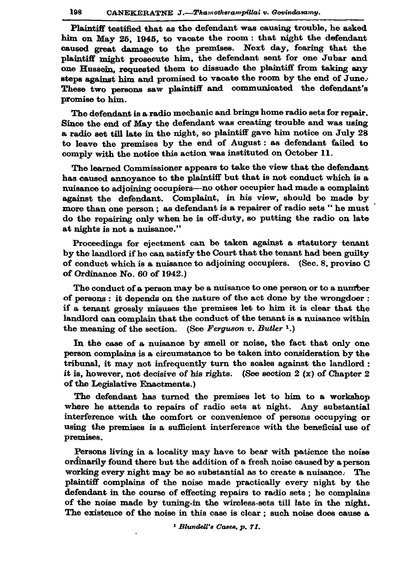Plaintiff testified that as the defendant was causing trouble, he asked him on May 25, 1945, to vacate the room: that night the defendant caused great damage to the premises. Next day, fearing that the plaintiff might prosecute him, the defendant sent for one Jubar and one Hussein, requested them to dissuade the plaintiff from taking any steps against him and promised to vacate the room by the end of June. These two persons saw plaintiff and communicated the defendant's promise to him.

The defendant is a radio mechanic and brings home radio sets for repair. Since the end of May the defendant was creating trouble and was using a radio set till late in the night, so plaintiff gave him notice on July 28 to leave the premises by the end of August: as defendant failed to comply with the notice this action was instituted on October 11.

The learned Commissioner appears to take the view that the defendant has caused annoyance to the plaintiff but that is not conduct which is a nuisance to adjoining occupiers-no other occupier had made a complaint against the defendant. Complaint, in his view, should be made by more than one person; as defendant is a repairer of radio sets " he must do the repairing only when he is off-duty, so putting the radio on late at nights is not a nuisance."

Proceedings for ejectment can be taken against a statutory tenant by the landlord if he can satisfy the Court that the tenant had been guilty of conduct which is a nuisance to adjoining occupiers. (Sec. 8, proviso C of Ordinance No. 60 of 1942.)

The conduct of a person may be a nuisance to one person or to a number of persons: it depends on the nature of the act done by the wrongdoer: if a tenant grossly misuses the premises let to him it is clear that the landlord can complain that the conduct of the tenant is a nuisance within the meaning of the section. (See Ferguson v. Butler 1.)

In the case of a nuisance by smell or noise, the fact that only one person complains is a circumstance to be taken into consideration by the tribunal, it may not infrequently turn the scales against the landlord : it is, however, not decisive of his rights. (See section 2  $(x)$  of Chapter 2 of the Legislative Enactments.)

The defendant has turned the premises let to him to a workshop where he attends to repairs of radio sets at night. Any substantial interference with the comfort or convenience of persons occupying or using the premises is a sufficient interference with the beneficial use of premises.

Persons living in a locality may have to bear with patience the noise ordinarily found there but the addition of a fresh noise caused by a person working every night may be so substantial as to create a nuisance. The plaintiff complains of the noise made practically every night by the defendant in the course of effecting repairs to radio sets; he complains of the noise made by tuning-in the wireless-sets till late in the night. The existence of the noise in this case is clear; such noise does cause a